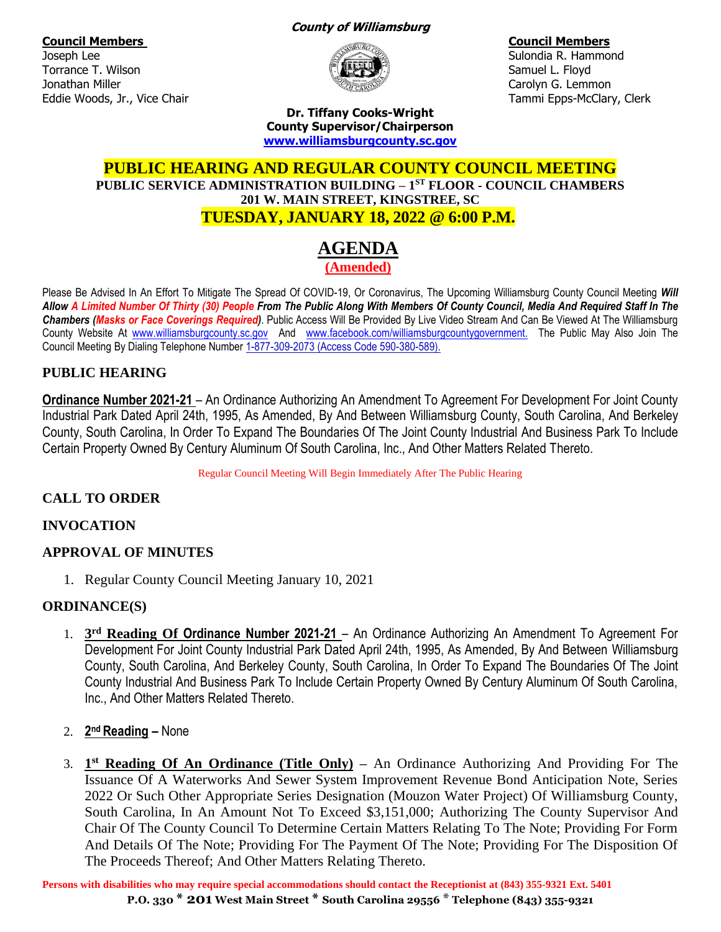**Council Members Council Members**

Joseph Lee Sulondia R. Hammond Charles and Sulondia R. Hammond Sulondia R. Hammond Torrance T. Wilson Samuel L. Floyd Jonathan Miller Carolyn G. Lemmon Eddie Woods, Jr., Vice Chair Tammi Epps-McClary, Clerk

#### **County of Williamsburg**



**Dr. Tiffany Cooks-Wright County Supervisor/Chairperson [www.williamsburgcounty.sc.gov](http://www.williamsburgcounty.sc.gov/)**

# **PUBLIC HEARING AND REGULAR COUNTY COUNCIL MEETING PUBLIC SERVICE ADMINISTRATION BUILDING – 1 ST FLOOR - COUNCIL CHAMBERS 201 W. MAIN STREET, KINGSTREE, SC TUESDAY, JANUARY 18, 2022 @ 6:00 P.M.**

# **AGENDA (Amended)**

Please Be Advised In An Effort To Mitigate The Spread Of COVID-19, Or Coronavirus, The Upcoming Williamsburg County Council Meeting *Will Allow A Limited Number Of Thirty (30) People From The Public Along With Members Of County Council, Media And Required Staff In The Chambers (Masks or Face Coverings Required)*. Public Access Will Be Provided By Live Video Stream And Can Be Viewed At The Williamsburg County Website At [www.williamsburgcounty.sc.gov](http://www.williamsburgcounty.sc.gov/) And [www.facebook.com/williamsburgcountygovernment.](http://www.facebook.com/williamsburgcountygovernment) The Public May Also Join The Council Meeting By Dialing Telephone Number 1-877-309-2073 (Access Code 590-380-589).

# **PUBLIC HEARING**

**Ordinance Number 2021-21** – An Ordinance Authorizing An Amendment To Agreement For Development For Joint County Industrial Park Dated April 24th, 1995, As Amended, By And Between Williamsburg County, South Carolina, And Berkeley County, South Carolina, In Order To Expand The Boundaries Of The Joint County Industrial And Business Park To Include Certain Property Owned By Century Aluminum Of South Carolina, Inc., And Other Matters Related Thereto.

Regular Council Meeting Will Begin Immediately After The Public Hearing

# **CALL TO ORDER**

## **INVOCATION**

## **APPROVAL OF MINUTES**

1. Regular County Council Meeting January 10, 2021

## **ORDINANCE(S)**

- 1. **3 rd Reading Of Ordinance Number 2021-21** An Ordinance Authorizing An Amendment To Agreement For Development For Joint County Industrial Park Dated April 24th, 1995, As Amended, By And Between Williamsburg County, South Carolina, And Berkeley County, South Carolina, In Order To Expand The Boundaries Of The Joint County Industrial And Business Park To Include Certain Property Owned By Century Aluminum Of South Carolina, Inc., And Other Matters Related Thereto.
- 2. **2 nd Reading –** None
- 3. **1 st Reading Of An Ordinance (Title Only) –** An Ordinance Authorizing And Providing For The Issuance Of A Waterworks And Sewer System Improvement Revenue Bond Anticipation Note, Series 2022 Or Such Other Appropriate Series Designation (Mouzon Water Project) Of Williamsburg County, South Carolina, In An Amount Not To Exceed \$3,151,000; Authorizing The County Supervisor And Chair Of The County Council To Determine Certain Matters Relating To The Note; Providing For Form And Details Of The Note; Providing For The Payment Of The Note; Providing For The Disposition Of The Proceeds Thereof; And Other Matters Relating Thereto.